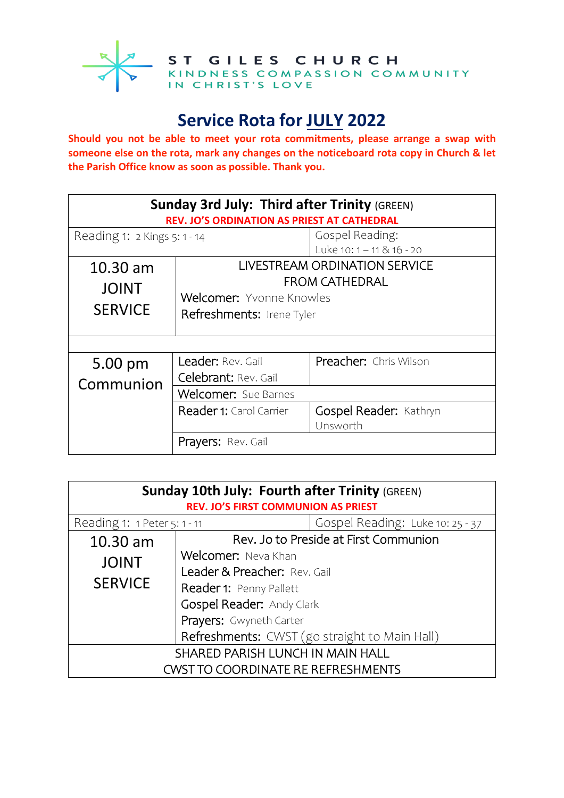

ST GILES CHURCH<br>
KINDNESS COMPASSION COMMUNITY<br>IN CHRIST'S LOVE

## **Service Rota for JULY 2022**

**Should you not be able to meet your rota commitments, please arrange a swap with someone else on the rota, mark any changes on the noticeboard rota copy in Church & let the Parish Office know as soon as possible. Thank you.**

| <b>Sunday 3rd July: Third after Trinity (GREEN)</b><br>REV. JO'S ORDINATION AS PRIEST AT CATHEDRAL |                                                                                                                        |                                                |  |  |
|----------------------------------------------------------------------------------------------------|------------------------------------------------------------------------------------------------------------------------|------------------------------------------------|--|--|
| Reading 1: 2 Kings 5: 1 - 14                                                                       |                                                                                                                        | Gospel Reading:<br>Luke $10:1 - 11 \& 16 - 20$ |  |  |
| $10.30$ am<br><b>JOINT</b><br><b>SERVICE</b>                                                       | LIVESTREAM ORDINATION SERVICE<br><b>FROM CATHEDRAL</b><br><b>Welcomer:</b> Yvonne Knowles<br>Refreshments: Irene Tyler |                                                |  |  |
| 5.00 pm                                                                                            | Leader: Rev. Gail                                                                                                      | Preacher: Chris Wilson                         |  |  |
| Communion                                                                                          | Celebrant: Rev. Gail<br>Welcomer: Sue Barnes                                                                           |                                                |  |  |
|                                                                                                    | Reader 1: Carol Carrier                                                                                                | Gospel Reader: Kathryn<br>Unsworth             |  |  |
|                                                                                                    | <b>Prayers:</b> Rev. Gail                                                                                              |                                                |  |  |

| <b>Sunday 10th July: Fourth after Trinity (GREEN)</b><br><b>REV. JO'S FIRST COMMUNION AS PRIEST</b> |                                               |                                  |  |
|-----------------------------------------------------------------------------------------------------|-----------------------------------------------|----------------------------------|--|
| Reading 1: 1 Peter 5: 1 - 11                                                                        |                                               | Gospel Reading: Luke 10: 25 - 37 |  |
| 10.30 am                                                                                            | Rev. Jo to Preside at First Communion         |                                  |  |
| <b>JOINT</b>                                                                                        | Welcomer: Neva Khan                           |                                  |  |
| <b>SERVICE</b>                                                                                      | Leader & Preacher: Rev. Gail                  |                                  |  |
|                                                                                                     | Reader 1: Penny Pallett                       |                                  |  |
|                                                                                                     | Gospel Reader: Andy Clark                     |                                  |  |
|                                                                                                     | Prayers: Gwyneth Carter                       |                                  |  |
|                                                                                                     | Refreshments: CWST (go straight to Main Hall) |                                  |  |
| SHARED PARISH LUNCH IN MAIN HALL                                                                    |                                               |                                  |  |
| <b>CWST TO COORDINATE RE REFRESHMENTS</b>                                                           |                                               |                                  |  |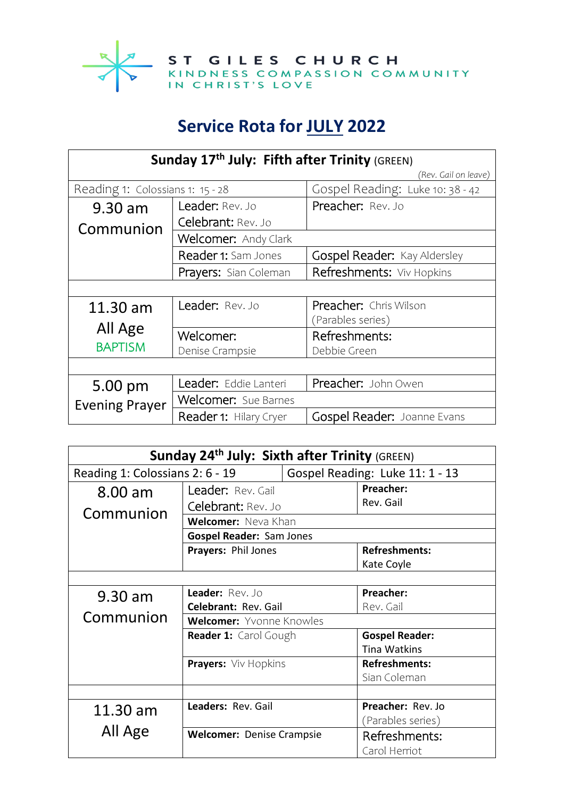

## **Service Rota for JULY 2022**

| Sunday 17th July: Fifth after Trinity (GREEN) |                               |                                     |  |
|-----------------------------------------------|-------------------------------|-------------------------------------|--|
|                                               |                               | (Rev. Gail on leave)                |  |
| Reading 1: Colossians 1: 15 - 28              |                               | Gospel Reading: Luke 10: 38 - 42    |  |
| 9.30 am                                       | <b>Leader: Rev. Jo</b>        | Preacher: Rev. Jo                   |  |
| Communion                                     | Celebrant: Rev. Jo            |                                     |  |
|                                               | Welcomer: Andy Clark          |                                     |  |
|                                               | <b>Reader 1:</b> Sam Jones    | <b>Gospel Reader: Kay Aldersley</b> |  |
|                                               | Prayers: Sian Coleman         | Refreshments: Viv Hopkins           |  |
|                                               |                               |                                     |  |
| $11.30$ am                                    | Leader: Rev. Jo               | <b>Preacher:</b> Chris Wilson       |  |
|                                               |                               | (Parables series)                   |  |
| All Age<br><b>BAPTISM</b>                     | Welcomer:                     | Refreshments:                       |  |
|                                               | Denise Crampsie               | Debbie Green                        |  |
|                                               |                               |                                     |  |
| 5.00 pm<br><b>Evening Prayer</b>              | Leader: Eddie Lanteri         | Preacher: John Owen                 |  |
|                                               | <b>Welcomer:</b> Sue Barnes   |                                     |  |
|                                               | <b>Reader 1: Hilary Cryer</b> | Gospel Reader: Joanne Evans         |  |

| Sunday 24 <sup>th</sup> July: Sixth after Trinity (GREEN) |                                  |                                 |                       |  |  |
|-----------------------------------------------------------|----------------------------------|---------------------------------|-----------------------|--|--|
| Reading 1: Colossians 2: 6 - 19                           |                                  | Gospel Reading: Luke 11: 1 - 13 |                       |  |  |
| $8.00$ am                                                 | Leader: Rev. Gail                |                                 | Preacher:             |  |  |
| Communion                                                 | Celebrant: Rev. Jo               |                                 | Rev. Gail             |  |  |
|                                                           | <b>Welcomer:</b> Neva Khan       |                                 |                       |  |  |
|                                                           | <b>Gospel Reader: Sam Jones</b>  |                                 |                       |  |  |
|                                                           | Prayers: Phil Jones              |                                 | <b>Refreshments:</b>  |  |  |
|                                                           |                                  |                                 | Kate Coyle            |  |  |
|                                                           |                                  |                                 |                       |  |  |
| $9.30$ am                                                 | Leader: Rev. Jo                  |                                 | Preacher:             |  |  |
|                                                           | Celebrant: Rev. Gail             |                                 | Rev. Gail             |  |  |
| Communion                                                 | Welcomer: Yvonne Knowles         |                                 |                       |  |  |
|                                                           | Reader 1: Carol Gough            |                                 | <b>Gospel Reader:</b> |  |  |
|                                                           |                                  |                                 | <b>Tina Watkins</b>   |  |  |
|                                                           | Prayers: Viv Hopkins             |                                 | <b>Refreshments:</b>  |  |  |
|                                                           |                                  |                                 | Sian Coleman          |  |  |
|                                                           |                                  |                                 |                       |  |  |
| 11.30 am                                                  | Leaders: Rev. Gail               |                                 | Preacher: Rev. Jo     |  |  |
|                                                           |                                  |                                 | (Parables series)     |  |  |
| All Age                                                   | <b>Welcomer: Denise Crampsie</b> |                                 | Refreshments:         |  |  |
|                                                           |                                  |                                 | Carol Herriot         |  |  |